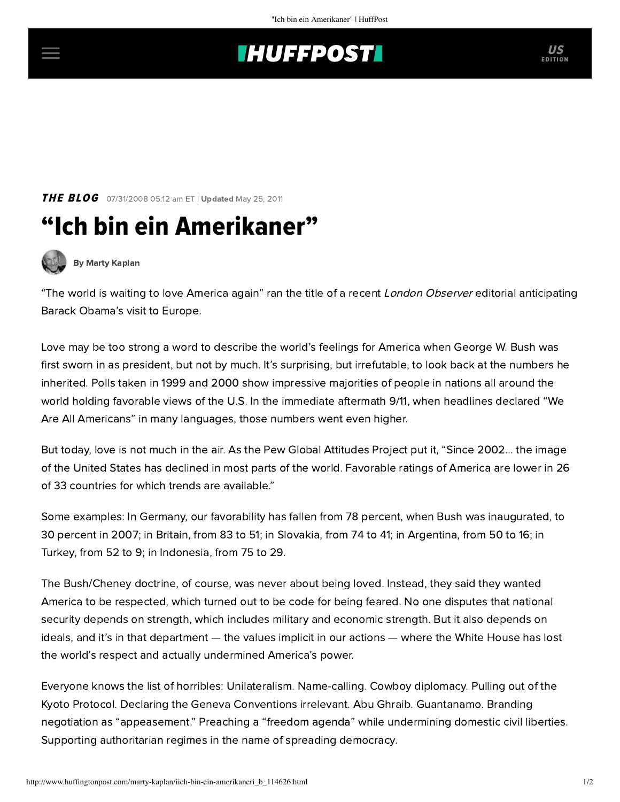## **THUFFPOSTI** US

**THE BLOG** 07/31/2008 05:12 am ET | Updated May 25, 2011

## "Ich bin ein Amerikaner"



[By Marty Kaplan](http://www.huffingtonpost.com/author/marty-kaplan)

"The world is waiting to love America again" ran the title of a recent London Observer editorial anticipating Barack Obama's visit to Europe.

Love may be too strong a word to describe the world's feelings for America when George W. Bush was first sworn in as president, but not by much. It's surprising, but irrefutable, to look back at the numbers he inherited. Polls taken in 1999 and 2000 show impressive majorities of people in nations all around the world holding favorable views of the U.S. In the immediate aftermath 9/11, when headlines declared "We Are All Americans" in many languages, those numbers went even higher.

But today, love is not much in the air. As the [Pew Global Attitudes Project p](http://pewglobal.org/commentary/display.php?AnalysisID=1019)ut it, "Since 2002... the image of the United States has declined in most parts of the world. Favorable ratings of America are lower in 26 of 33 countries for which trends are available."

Some examples: In Germany, our favorability has fallen from 78 percent, when Bush was inaugurated, to 30 percent in 2007; in Britain, from 83 to 51; in Slovakia, from 74 to 41; in Argentina, from 50 to 16; in Turkey, from 52 to 9; in Indonesia, from 75 to 29.

The Bush/Cheney doctrine, of course, was never about being loved. Instead, they said they wanted America to be respected, which turned out to be code for being feared. No one disputes that national security depends on strength, which includes military and economic strength. But it also depends on ideals, and it's in that department — the values implicit in our actions — where the White House has lost the world's respect and actually undermined America's power.

Everyone knows the list of horribles: Unilateralism. Name-calling. Cowboy diplomacy. Pulling out of the Kyoto Protocol. Declaring the Geneva Conventions irrelevant. Abu Ghraib. Guantanamo. Branding negotiation as "appeasement." Preaching a "freedom agenda" while undermining domestic civil liberties. Supporting authoritarian regimes in the name of spreading democracy.